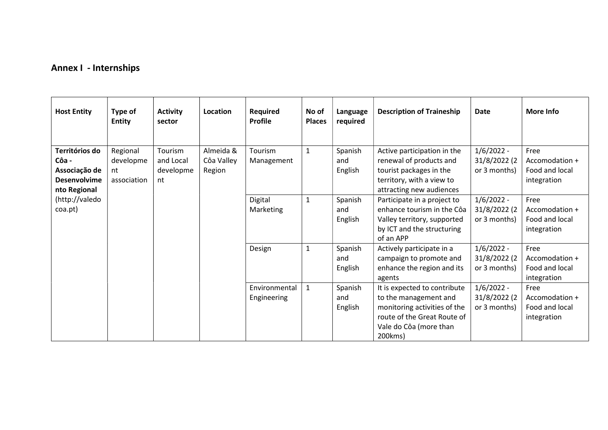## Annex I - Internships

| <b>Host Entity</b>                                                                                           | Type of<br><b>Entity</b>                   | <b>Activity</b><br>sector               | Location                          | Required<br><b>Profile</b>   | No of<br><b>Places</b> | Language<br>required      | <b>Description of Traineship</b>                                                                                                                          | <b>Date</b>                                  | More Info                                               |
|--------------------------------------------------------------------------------------------------------------|--------------------------------------------|-----------------------------------------|-----------------------------------|------------------------------|------------------------|---------------------------|-----------------------------------------------------------------------------------------------------------------------------------------------------------|----------------------------------------------|---------------------------------------------------------|
| Territórios do<br>Côa -<br>Associação de<br><b>Desenvolvime</b><br>nto Regional<br>(http://valedo<br>coa.pt) | Regional<br>developme<br>nt<br>association | Tourism<br>and Local<br>developme<br>nt | Almeida &<br>Côa Valley<br>Region | Tourism<br>Management        | $\mathbf{1}$           | Spanish<br>and<br>English | Active participation in the<br>renewal of products and<br>tourist packages in the<br>territory, with a view to<br>attracting new audiences                | $1/6/2022 -$<br>31/8/2022 (2<br>or 3 months) | Free<br>Accomodation +<br>Food and local<br>integration |
|                                                                                                              |                                            |                                         |                                   | Digital<br>Marketing         | $\mathbf{1}$           | Spanish<br>and<br>English | Participate in a project to<br>enhance tourism in the Côa<br>Valley territory, supported<br>by ICT and the structuring<br>of an APP                       | $1/6/2022 -$<br>31/8/2022 (2<br>or 3 months) | Free<br>Accomodation +<br>Food and local<br>integration |
|                                                                                                              |                                            |                                         |                                   | Design                       | $\mathbf{1}$           | Spanish<br>and<br>English | Actively participate in a<br>campaign to promote and<br>enhance the region and its<br>agents                                                              | $1/6/2022 -$<br>31/8/2022 (2<br>or 3 months) | Free<br>Accomodation +<br>Food and local<br>integration |
|                                                                                                              |                                            |                                         |                                   | Environmental<br>Engineering | $\mathbf{1}$           | Spanish<br>and<br>English | It is expected to contribute<br>to the management and<br>monitoring activities of the<br>route of the Great Route of<br>Vale do Côa (more than<br>200kms) | $1/6/2022 -$<br>31/8/2022 (2<br>or 3 months) | Free<br>Accomodation +<br>Food and local<br>integration |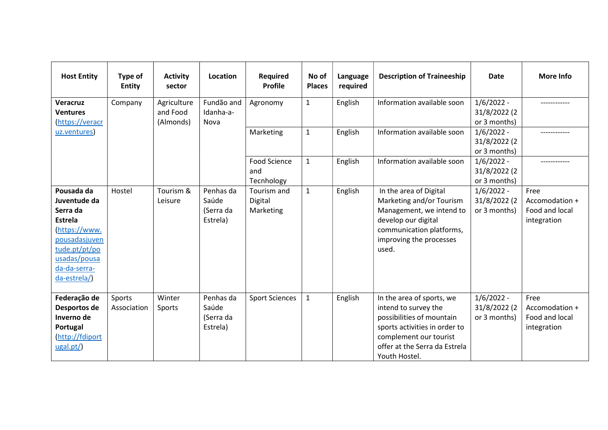| <b>Host Entity</b>                                                                                                                                          | Type of<br><b>Entity</b> | <b>Activity</b><br>sector            | Location                                    | <b>Required</b><br><b>Profile</b>        | No of<br><b>Places</b> | Language<br>required | <b>Description of Traineeship</b>                                                                                                                                                           | Date                                         | <b>More Info</b>                                        |
|-------------------------------------------------------------------------------------------------------------------------------------------------------------|--------------------------|--------------------------------------|---------------------------------------------|------------------------------------------|------------------------|----------------------|---------------------------------------------------------------------------------------------------------------------------------------------------------------------------------------------|----------------------------------------------|---------------------------------------------------------|
| Veracruz<br><b>Ventures</b><br>(https://veracr                                                                                                              | Company                  | Agriculture<br>and Food<br>(Almonds) | Fundão and<br>Idanha-a-<br>Nova             | Agronomy                                 | $\mathbf{1}$           | English              | Information available soon                                                                                                                                                                  | $1/6/2022 -$<br>31/8/2022 (2<br>or 3 months) |                                                         |
| uz.ventures)                                                                                                                                                |                          |                                      |                                             | Marketing                                | $\mathbf{1}$           | English              | Information available soon                                                                                                                                                                  | $1/6/2022 -$<br>31/8/2022 (2<br>or 3 months) |                                                         |
|                                                                                                                                                             |                          |                                      |                                             | <b>Food Science</b><br>and<br>Tecnhology | $\mathbf{1}$           | English              | Information available soon                                                                                                                                                                  | $1/6/2022 -$<br>31/8/2022 (2<br>or 3 months) |                                                         |
| Pousada da<br>Juventude da<br>Serra da<br><b>Estrela</b><br>(https://www.<br>pousadasjuven<br>tude.pt/pt/po<br>usadas/pousa<br>da-da-serra-<br>da-estrela/) | Hostel                   | Tourism &<br>Leisure                 | Penhas da<br>Saúde<br>(Serra da<br>Estrela) | Tourism and<br>Digital<br>Marketing      | $\mathbf{1}$           | English              | In the area of Digital<br>Marketing and/or Tourism<br>Management, we intend to<br>develop our digital<br>communication platforms,<br>improving the processes<br>used.                       | $1/6/2022 -$<br>31/8/2022 (2<br>or 3 months) | Free<br>Accomodation +<br>Food and local<br>integration |
| Federação de<br>Desportos de<br>Inverno de<br>Portugal<br>(http://fdiport<br>ugal.pt/)                                                                      | Sports<br>Association    | Winter<br>Sports                     | Penhas da<br>Saúde<br>(Serra da<br>Estrela) | <b>Sport Sciences</b>                    | $\mathbf{1}$           | English              | In the area of sports, we<br>intend to survey the<br>possibilities of mountain<br>sports activities in order to<br>complement our tourist<br>offer at the Serra da Estrela<br>Youth Hostel. | $1/6/2022 -$<br>31/8/2022 (2<br>or 3 months) | Free<br>Accomodation +<br>Food and local<br>integration |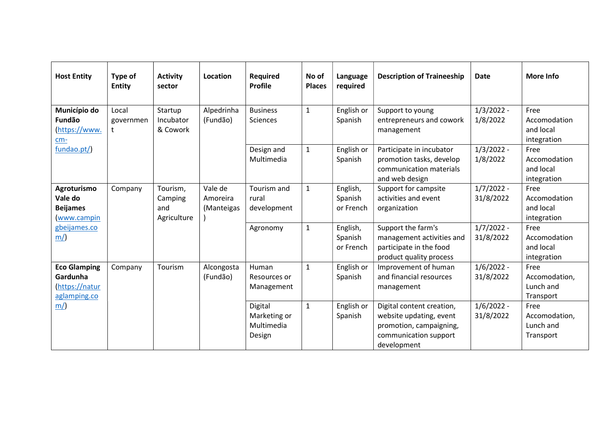| <b>Host Entity</b>                                               | Type of<br><b>Entity</b> | <b>Activity</b><br>sector                 | Location                          | <b>Required</b><br>Profile                      | No of<br><b>Places</b> | Language<br>required             | <b>Description of Traineeship</b>                                                                                       | <b>Date</b>               | <b>More Info</b>                                 |
|------------------------------------------------------------------|--------------------------|-------------------------------------------|-----------------------------------|-------------------------------------------------|------------------------|----------------------------------|-------------------------------------------------------------------------------------------------------------------------|---------------------------|--------------------------------------------------|
| Município do<br><b>Fundão</b><br>https://www.<br>$cm-$           | Local<br>governmen       | Startup<br>Incubator<br>& Cowork          | Alpedrinha<br>(Fundão)            | <b>Business</b><br>Sciences                     | $\mathbf 1$            | English or<br>Spanish            | Support to young<br>entrepreneurs and cowork<br>management                                                              | $1/3/2022 -$<br>1/8/2022  | Free<br>Accomodation<br>and local<br>integration |
| fundao.pt/)                                                      |                          |                                           |                                   | Design and<br>Multimedia                        | $\mathbf{1}$           | English or<br>Spanish            | Participate in incubator<br>promotion tasks, develop<br>communication materials<br>and web design                       | $1/3/2022 -$<br>1/8/2022  | Free<br>Accomodation<br>and local<br>integration |
| Agroturismo<br>Vale do<br><b>Beijames</b><br>www.campin          | Company                  | Tourism,<br>Camping<br>and<br>Agriculture | Vale de<br>Amoreira<br>(Manteigas | Tourism and<br>rural<br>development             | $\mathbf{1}$           | English,<br>Spanish<br>or French | Support for campsite<br>activities and event<br>organization                                                            | $1/7/2022 -$<br>31/8/2022 | Free<br>Accomodation<br>and local<br>integration |
| gbeijames.co<br>m/                                               |                          |                                           |                                   | Agronomy                                        | $\mathbf{1}$           | English,<br>Spanish<br>or French | Support the farm's<br>management activities and<br>participate in the food<br>product quality process                   | $1/7/2022 -$<br>31/8/2022 | Free<br>Accomodation<br>and local<br>integration |
| <b>Eco Glamping</b><br>Gardunha<br>https://natur<br>aglamping.co | Company                  | Tourism                                   | Alcongosta<br>(Fundão)            | Human<br>Resources or<br>Management             | 1                      | English or<br>Spanish            | Improvement of human<br>and financial resources<br>management                                                           | $1/6/2022 -$<br>31/8/2022 | Free<br>Accomodation,<br>Lunch and<br>Transport  |
| m/                                                               |                          |                                           |                                   | Digital<br>Marketing or<br>Multimedia<br>Design | $\mathbf{1}$           | English or<br>Spanish            | Digital content creation,<br>website updating, event<br>promotion, campaigning,<br>communication support<br>development | $1/6/2022 -$<br>31/8/2022 | Free<br>Accomodation,<br>Lunch and<br>Transport  |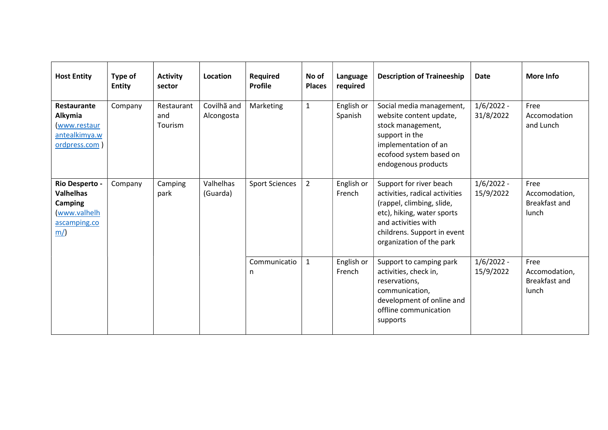| <b>Host Entity</b>                                                                         | Type of<br><b>Entity</b> | <b>Activity</b><br>sector    | Location                  | <b>Required</b><br><b>Profile</b> | No of<br><b>Places</b> | Language<br>required  | <b>Description of Traineeship</b>                                                                                                                                                                      | <b>Date</b>               | More Info                                       |
|--------------------------------------------------------------------------------------------|--------------------------|------------------------------|---------------------------|-----------------------------------|------------------------|-----------------------|--------------------------------------------------------------------------------------------------------------------------------------------------------------------------------------------------------|---------------------------|-------------------------------------------------|
| Restaurante<br>Alkymia<br>www.restaur<br>antealkimya.w<br>ordpress.com                     | Company                  | Restaurant<br>and<br>Tourism | Covilhã and<br>Alcongosta | Marketing                         | $\mathbf{1}$           | English or<br>Spanish | Social media management,<br>website content update,<br>stock management,<br>support in the<br>implementation of an<br>ecofood system based on<br>endogenous products                                   | $1/6/2022 -$<br>31/8/2022 | Free<br>Accomodation<br>and Lunch               |
| Rio Desperto -<br><b>Valhelhas</b><br><b>Camping</b><br>(www.valhelh<br>ascamping.co<br>m/ | Company                  | Camping<br>park              | Valhelhas<br>(Guarda)     | <b>Sport Sciences</b>             | $\overline{2}$         | English or<br>French  | Support for river beach<br>activities, radical activities<br>(rappel, climbing, slide,<br>etc), hiking, water sports<br>and activities with<br>childrens. Support in event<br>organization of the park | $1/6/2022 -$<br>15/9/2022 | Free<br>Accomodation,<br>Breakfast and<br>lunch |
|                                                                                            |                          |                              |                           | Communicatio<br>n                 | $\mathbf{1}$           | English or<br>French  | Support to camping park<br>activities, check in,<br>reservations,<br>communication,<br>development of online and<br>offline communication<br>supports                                                  | $1/6/2022 -$<br>15/9/2022 | Free<br>Accomodation,<br>Breakfast and<br>lunch |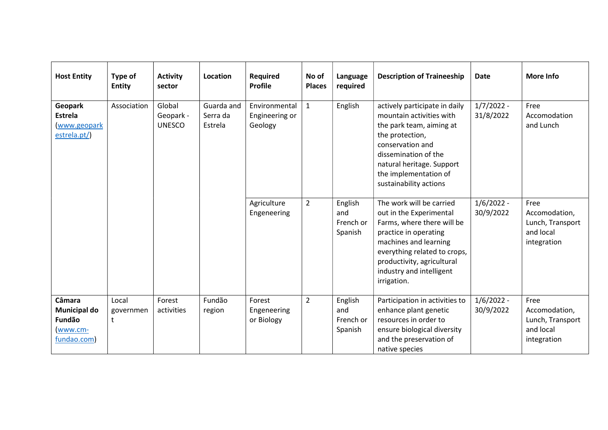| <b>Host Entity</b>                                                 | Type of<br><b>Entity</b> | <b>Activity</b><br>sector            | Location                          | <b>Required</b><br><b>Profile</b>          | No of<br><b>Places</b> | Language<br>required                   | <b>Description of Traineeship</b>                                                                                                                                                                                                            | <b>Date</b>               | <b>More Info</b>                                                      |
|--------------------------------------------------------------------|--------------------------|--------------------------------------|-----------------------------------|--------------------------------------------|------------------------|----------------------------------------|----------------------------------------------------------------------------------------------------------------------------------------------------------------------------------------------------------------------------------------------|---------------------------|-----------------------------------------------------------------------|
| Geopark<br>Estrela<br>(www.geopark<br>estrela.pt/)                 | Association              | Global<br>Geopark -<br><b>UNESCO</b> | Guarda and<br>Serra da<br>Estrela | Environmental<br>Engineering or<br>Geology | $\mathbf{1}$           | English                                | actively participate in daily<br>mountain activities with<br>the park team, aiming at<br>the protection,<br>conservation and<br>dissemination of the<br>natural heritage. Support<br>the implementation of<br>sustainability actions         | $1/7/2022 -$<br>31/8/2022 | Free<br>Accomodation<br>and Lunch                                     |
|                                                                    |                          |                                      |                                   | Agriculture<br>Engeneering                 | $\overline{2}$         | English<br>and<br>French or<br>Spanish | The work will be carried<br>out in the Experimental<br>Farms, where there will be<br>practice in operating<br>machines and learning<br>everything related to crops,<br>productivity, agricultural<br>industry and intelligent<br>irrigation. | $1/6/2022 -$<br>30/9/2022 | Free<br>Accomodation,<br>Lunch, Transport<br>and local<br>integration |
| Câmara<br><b>Municipal do</b><br>Fundão<br>(www.cm-<br>fundao.com) | Local<br>governmen<br>t  | Forest<br>activities                 | Fundão<br>region                  | Forest<br>Engeneering<br>or Biology        | $\overline{2}$         | English<br>and<br>French or<br>Spanish | Participation in activities to<br>enhance plant genetic<br>resources in order to<br>ensure biological diversity<br>and the preservation of<br>native species                                                                                 | $1/6/2022 -$<br>30/9/2022 | Free<br>Accomodation,<br>Lunch, Transport<br>and local<br>integration |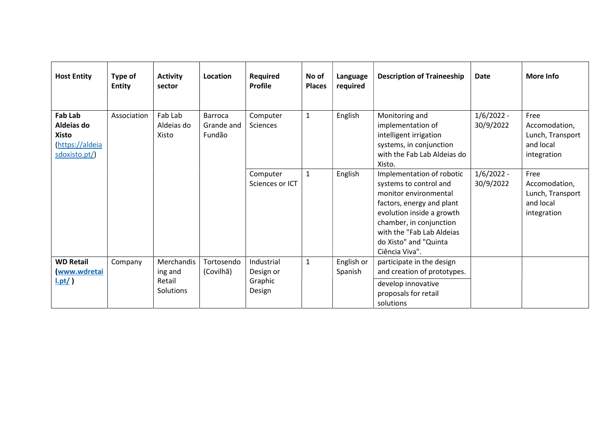| <b>Host Entity</b>                                                              | Type of<br><b>Entity</b> | <b>Activity</b><br>sector                    | Location                               | <b>Required</b><br><b>Profile</b>            | No of<br><b>Places</b> | Language<br>required  | <b>Description of Traineeship</b>                                                                                                                                                                                                         | <b>Date</b>               | <b>More Info</b>                                                      |
|---------------------------------------------------------------------------------|--------------------------|----------------------------------------------|----------------------------------------|----------------------------------------------|------------------------|-----------------------|-------------------------------------------------------------------------------------------------------------------------------------------------------------------------------------------------------------------------------------------|---------------------------|-----------------------------------------------------------------------|
| <b>Fab Lab</b><br>Aldeias do<br><b>Xisto</b><br>https://aldeia<br>sdoxisto.pt/) | Association              | Fab Lab<br>Aldeias do<br>Xisto               | <b>Barroca</b><br>Grande and<br>Fundão | Computer<br>Sciences                         | $\mathbf{1}$           | English               | Monitoring and<br>implementation of<br>intelligent irrigation<br>systems, in conjunction<br>with the Fab Lab Aldeias do<br>Xisto.                                                                                                         | $1/6/2022 -$<br>30/9/2022 | Free<br>Accomodation,<br>Lunch, Transport<br>and local<br>integration |
|                                                                                 |                          |                                              |                                        | Computer<br>Sciences or ICT                  | $\mathbf{1}$           | English               | Implementation of robotic<br>systems to control and<br>monitor environmental<br>factors, energy and plant<br>evolution inside a growth<br>chamber, in conjunction<br>with the "Fab Lab Aldeias<br>do Xisto" and "Quinta<br>Ciência Viva". | $1/6/2022 -$<br>30/9/2022 | Free<br>Accomodation,<br>Lunch, Transport<br>and local<br>integration |
| <b>WD Retail</b><br>www.wdretai<br>$l.pt/$ )                                    | Company                  | Merchandis<br>ing and<br>Retail<br>Solutions | Tortosendo<br>(Covilhã)                | Industrial<br>Design or<br>Graphic<br>Design | $\mathbf{1}$           | English or<br>Spanish | participate in the design<br>and creation of prototypes.<br>develop innovative<br>proposals for retail<br>solutions                                                                                                                       |                           |                                                                       |